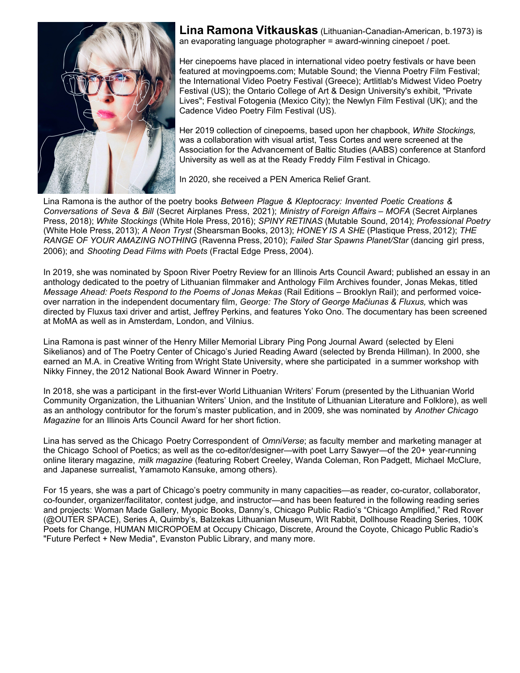

**[Lina Ramona Vitkausk](https://linaramona.com)as** (Lithuanian-Canadian-American, b.1973) is an evaporating language photographer = [award-winning cinepoet](http://vimeo.com/linaramonavit) / poet.

Her cinepoems have placed in international video poetry festivals or have been featured at movingpoems.com; Mutable Sound; the Vienna Poetry Film Festival; the International Video Poetry Festival (Greece); Artlitlab's Midwest Video Poetry [Festival \(US\); the Ontario C](https://vimeo.com/395610373)ollege of Art & Design University's exhibit, "Private Lives"; Festival Fotogenia (Mexico City); the Newlyn Film Festival (UK); and the Cadence Video Poetry Film Festival (US).

Her 2019 collection of cinepoems, based upon her chapbook, *White Stockings,* was a collaboration with visual artist, Tess Cortes and were screened at the Association for the Advancement of Baltic Studies (AABS) conference at Stanford University as well as at the Ready Freddy Film Festival in Chicago.

In 2020, she received a PEN America Relief Grant.

Lina Ramona is the author of the poetry books *Between Plague & Kleptocracy: Invented Poetic Creations & Conversations of Seva & Bill* (Secret Airplanes Press, 2021); *Ministry of Foreign Affairs – MOFA* (Secret Airplanes Press, 2018); *White Stockings* (White Hole Press, 2016); *SPINY RETINAS* (Mutable Sound, 2014); *Professional Poetry* (White Hole Press, 2013); *A Neon Tryst* (Shearsman Books, 2013); *HONEY IS A SHE* (Plastique Press, 2012); *THE RANGE OF YOUR AMAZING NOTHING* (Ravenna Press, 2010); *Failed Star Spawns Planet/Star* (dancing girl press, 2006); and *Shooting Dead Films with Poets* (Fractal Edge Press, 2004).

In 2019, she was nominated by Spoon River Poetry Review for an Illinois Arts Council Award; published an essay in an anthology dedicated to the poetry of Lithuanian filmmaker and Anthology Film Archives founder, Jonas Mekas, titled *Message Ahead: Poets Respond to the Poems of Jonas Mekas* (Rail Editions – Brooklyn Rail); and performed voiceover narration in the independent documentary film, *George: The Story of George Mačiunas & Fluxus,* which was directed by Fluxus taxi driver and artist, Jeffrey Perkins, and features Yoko Ono. The documentary has been screened at MoMA as well as in Amsterdam, London, and Vilnius.

Lina Ramona is past winner of the Henry Miller Memorial Library Ping Pong Journal Award (selected by Eleni Sikelianos) and of The Poetry Center of Chicago's Juried Reading Award (selected by Brenda Hillman). In 2000, she earned an M.A. in Creative Writing from Wright State University, where she participated in a summer workshop with Nikky Finney, the 2012 National Book Award Winner in Poetry.

In 2018, she was a participant in the first-ever World Lithuanian Writers' Forum (presented by the Lithuanian World Community Organization, the Lithuanian Writers' Union, and the Institute of Lithuanian Literature and Folklore), as well as an anthology contributor for the forum's master publication, and in 2009, she was nominated by *Another Chicago Magazine* for an Illinois Arts Council Award for her short fiction.

Lina has served as the Chicago Poetry Correspondent of *OmniVerse*; as faculty member and marketing manager at the Chicago School of Poetics; as well as the co-editor/designer—with poet Larry Sawyer—of the 20+ year-running online literary magazine, *milk magazine* (featuring Robert Creeley, Wanda Coleman, Ron Padgett, Michael McClure, and Japanese surrealist, Yamamoto Kansuke, among others).

For 15 years, she was a part of Chicago's poetry community in many capacities—as reader, co-curator, collaborator, co-founder, organizer/facilitator, contest judge, and instructor—and has been featured in the following reading series and projects: Woman Made Gallery, Myopic Books, Danny's, Chicago Public Radio's "Chicago Amplified," Red Rover (@OUTER SPACE), Series A, Quimby's, Balzekas Lithuanian Museum, Wĭt Rabbit, Dollhouse Reading Series, 100K Poets for Change, HUMAN MICROPOEM at Occupy Chicago, Discrete, Around the Coyote, Chicago Public Radio's "Future Perfect + New Media", Evanston Public Library, and many more.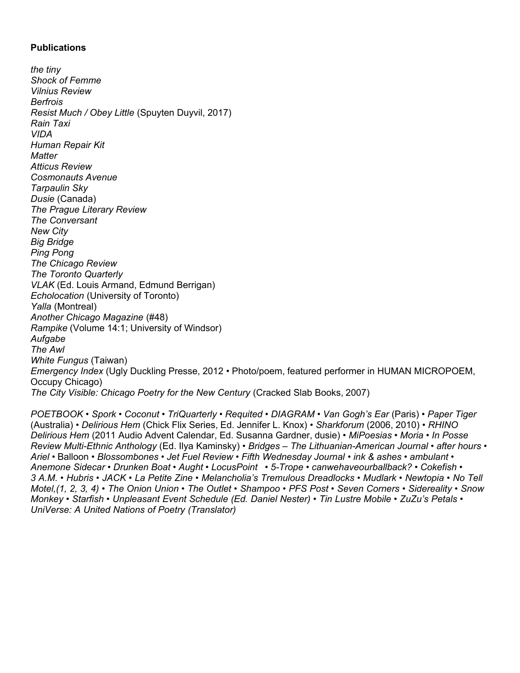### **Publications**

*the tiny Shock of Femme Vilnius Review Berfrois Resist Much / Obey Little* (Spuyten Duyvil, 2017) *Rain Taxi VIDA Human Repair Kit Matter Atticus Review Cosmonauts Avenue Tarpaulin Sky Dusie* (Canada) *The Prague Literary Review The Conversant New City Big Bridge Ping Pong The Chicago Review The Toronto Quarterly VLAK* (Ed. Louis Armand, Edmund Berrigan) *Echolocation* (University of Toronto) *Yalla* (Montreal) *Another Chicago Magazine* (#48) *Rampike* (Volume 14:1; University of Windsor) *Aufgabe The Awl White Fungus* (Taiwan) *Emergency Index* (Ugly Duckling Presse, 2012 • Photo/poem, featured performer in HUMAN MICROPOEM, Occupy Chicago) *The City Visible: Chicago Poetry for the New Century* (Cracked Slab Books, 2007)

*POETBOOK • Spork • Coconut • TriQuarterly* • *Requited • DIAGRAM • Van Gogh's Ear* (Paris) • *Paper Tiger* (Australia) • *Delirious Hem* (Chick Flix Series, Ed. Jennifer L. Knox) • *Sharkforum* (2006, 2010) • *RHINO Delirious Hem* (2011 Audio Advent Calendar, Ed. Susanna Gardner, dusie) • *MiPoesias • Moria • In Posse Review Multi-Ethnic Anthology* (Ed. Ilya Kaminsky) • *Bridges – The Lithuanian-American Journal* • *after hours* • *Ariel* • Balloon • *Blossombones • Jet Fuel Review • Fifth Wednesday Journal* • *ink & ashes* • *ambulant* • *Anemone Sidecar • Drunken Boat • Aught • LocusPoint • 5-Trope • canwehaveourballback? • Cokefish • 3 A.M. • Hubris • JACK • La Petite Zine • Melancholia's Tremulous Dreadlocks • Mudlark • Newtopia • No Tell Motel,(1, 2, 3, 4) • The Onion Union • The Outlet • Shampoo • PFS Post • Seven Corners • Sidereality • Snow Monkey • Starfish • Unpleasant Event Schedule (Ed. Daniel Nester) • Tin Lustre Mobile • ZuZu's Petals • UniVerse: A United Nations of Poetry (Translator)*